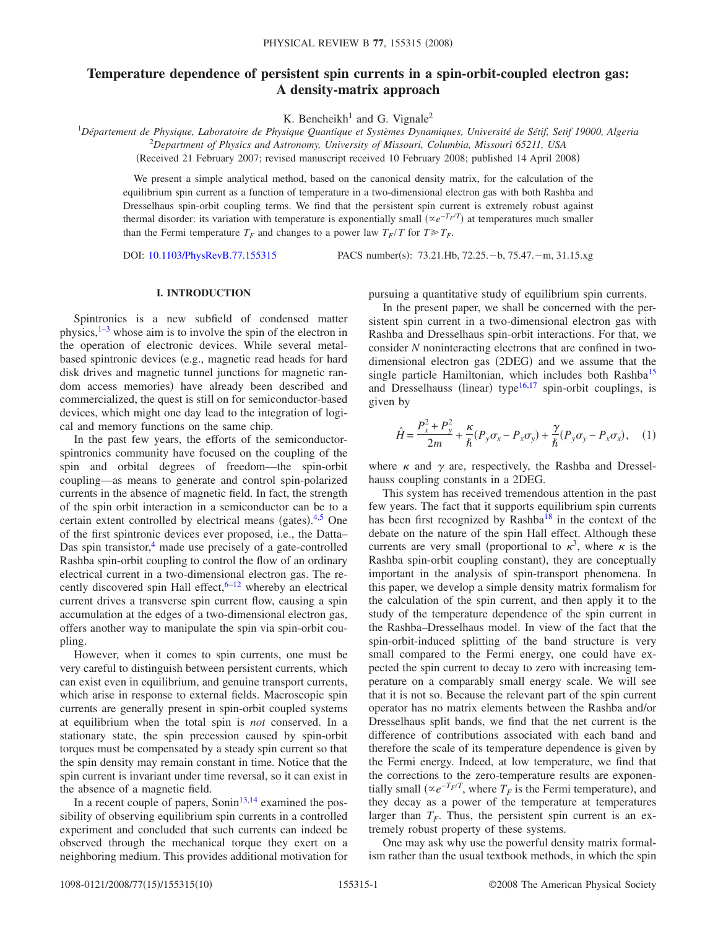# **Temperature dependence of persistent spin currents in a spin-orbit-coupled electron gas: A density-matrix approach**

K. Bencheikh<sup>1</sup> and G. Vignale<sup>2</sup>

<sup>1</sup>*Département de Physique, Laboratoire de Physique Quantique et Systèmes Dynamiques, Université de Sétif, Setif 19000, Algeria*

2 *Department of Physics and Astronomy, University of Missouri, Columbia, Missouri 65211, USA*

(Received 21 February 2007; revised manuscript received 10 February 2008; published 14 April 2008)

We present a simple analytical method, based on the canonical density matrix, for the calculation of the equilibrium spin current as a function of temperature in a two-dimensional electron gas with both Rashba and Dresselhaus spin-orbit coupling terms. We find that the persistent spin current is extremely robust against thermal disorder: its variation with temperature is exponentially small  $(\alpha e^{-T_F/T})$  at temperatures much smaller than the Fermi temperature  $T_F$  and changes to a power law  $T_F/T$  for  $T \ge T_F$ .

DOI: [10.1103/PhysRevB.77.155315](http://dx.doi.org/10.1103/PhysRevB.77.155315)

PACS number(s): 73.21.Hb, 72.25. - b, 75.47. - m, 31.15.xg

#### **I. INTRODUCTION**

Spintronics is a new subfield of condensed matter physics, $1-3$  whose aim is to involve the spin of the electron in the operation of electronic devices. While several metalbased spintronic devices (e.g., magnetic read heads for hard disk drives and magnetic tunnel junctions for magnetic random access memories) have already been described and commercialized, the quest is still on for semiconductor-based devices, which might one day lead to the integration of logical and memory functions on the same chip.

In the past few years, the efforts of the semiconductorspintronics community have focused on the coupling of the spin and orbital degrees of freedom—the spin-orbit coupling—as means to generate and control spin-polarized currents in the absence of magnetic field. In fact, the strength of the spin orbit interaction in a semiconductor can be to a certain extent controlled by electrical means (gates).<sup>[4,](#page-9-2)[5](#page-9-3)</sup> One of the first spintronic devices ever proposed, i.e., the Datta– Das spin transistor, $4 \text{ made use precisely of a gate-controlled}$ Rashba spin-orbit coupling to control the flow of an ordinary electrical current in a two-dimensional electron gas. The recently discovered spin Hall effect,  $6-12$  whereby an electrical current drives a transverse spin current flow, causing a spin accumulation at the edges of a two-dimensional electron gas, offers another way to manipulate the spin via spin-orbit coupling.

However, when it comes to spin currents, one must be very careful to distinguish between persistent currents, which can exist even in equilibrium, and genuine transport currents, which arise in response to external fields. Macroscopic spin currents are generally present in spin-orbit coupled systems at equilibrium when the total spin is *not* conserved. In a stationary state, the spin precession caused by spin-orbit torques must be compensated by a steady spin current so that the spin density may remain constant in time. Notice that the spin current is invariant under time reversal, so it can exist in the absence of a magnetic field.

In a recent couple of papers, Sonin $13,14$  $13,14$  examined the possibility of observing equilibrium spin currents in a controlled experiment and concluded that such currents can indeed be observed through the mechanical torque they exert on a neighboring medium. This provides additional motivation for pursuing a quantitative study of equilibrium spin currents.

In the present paper, we shall be concerned with the persistent spin current in a two-dimensional electron gas with Rashba and Dresselhaus spin-orbit interactions. For that, we consider *N* noninteracting electrons that are confined in twodimensional electron gas (2DEG) and we assume that the single particle Hamiltonian, which includes both Rashba $^{15}$ and Dresselhauss (linear) type<sup>16[,17](#page-9-10)</sup> spin-orbit couplings, is given by

<span id="page-0-0"></span>
$$
\hat{H} = \frac{P_x^2 + P_y^2}{2m} + \frac{\kappa}{\hbar} (P_y \sigma_x - P_x \sigma_y) + \frac{\gamma}{\hbar} (P_y \sigma_y - P_x \sigma_x), \quad (1)
$$

where  $\kappa$  and  $\gamma$  are, respectively, the Rashba and Dresselhauss coupling constants in a 2DEG.

This system has received tremendous attention in the past few years. The fact that it supports equilibrium spin currents has been first recognized by Rashba<sup>18</sup> in the context of the debate on the nature of the spin Hall effect. Although these currents are very small (proportional to  $\kappa^3$ , where  $\kappa$  is the Rashba spin-orbit coupling constant), they are conceptually important in the analysis of spin-transport phenomena. In this paper, we develop a simple density matrix formalism for the calculation of the spin current, and then apply it to the study of the temperature dependence of the spin current in the Rashba–Dresselhaus model. In view of the fact that the spin-orbit-induced splitting of the band structure is very small compared to the Fermi energy, one could have expected the spin current to decay to zero with increasing temperature on a comparably small energy scale. We will see that it is not so. Because the relevant part of the spin current operator has no matrix elements between the Rashba and/or Dresselhaus split bands, we find that the net current is the difference of contributions associated with each band and therefore the scale of its temperature dependence is given by the Fermi energy. Indeed, at low temperature, we find that the corrections to the zero-temperature results are exponentially small ( $\propto e^{-T_F/T}$ , where  $T_F$  is the Fermi temperature), and they decay as a power of the temperature at temperatures larger than  $T_F$ . Thus, the persistent spin current is an extremely robust property of these systems.

One may ask why use the powerful density matrix formalism rather than the usual textbook methods, in which the spin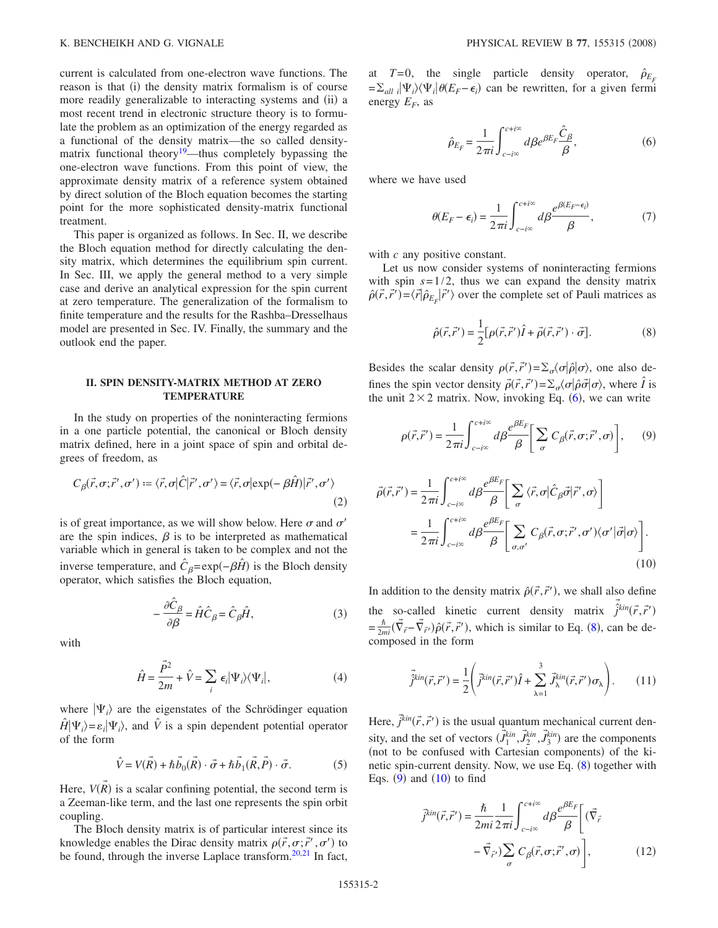current is calculated from one-electron wave functions. The reason is that (i) the density matrix formalism is of course more readily generalizable to interacting systems and (ii) a most recent trend in electronic structure theory is to formulate the problem as an optimization of the energy regarded as a functional of the density matrix—the so called densitymatrix functional theory<sup>19</sup>—thus completely bypassing the one-electron wave functions. From this point of view, the approximate density matrix of a reference system obtained by direct solution of the Bloch equation becomes the starting point for the more sophisticated density-matrix functional treatment.

This paper is organized as follows. In Sec. II, we describe the Bloch equation method for directly calculating the density matrix, which determines the equilibrium spin current. In Sec. III, we apply the general method to a very simple case and derive an analytical expression for the spin current at zero temperature. The generalization of the formalism to finite temperature and the results for the Rashba–Dresselhaus model are presented in Sec. IV. Finally, the summary and the outlook end the paper.

### **II. SPIN DENSITY-MATRIX METHOD AT ZERO TEMPERATURE**

In the study on properties of the noninteracting fermions in a one particle potential, the canonical or Bloch density matrix defined, here in a joint space of spin and orbital degrees of freedom, as

<span id="page-1-7"></span>
$$
C_{\beta}(\vec{r}, \sigma; \vec{r}', \sigma') \coloneqq \langle \vec{r}, \sigma | \hat{C} | \vec{r}', \sigma' \rangle = \langle \vec{r}, \sigma | \exp(-\beta \hat{H}) | \vec{r}', \sigma' \rangle \tag{2}
$$

is of great importance, as we will show below. Here  $\sigma$  and  $\sigma'$ are the spin indices,  $\beta$  is to be interpreted as mathematical variable which in general is taken to be complex and not the inverse temperature, and  $\hat{C}_{\beta} = \exp(-\beta \hat{H})$  is the Bloch density operator, which satisfies the Bloch equation,

$$
-\frac{\partial \hat{C}_{\beta}}{\partial \beta} = \hat{H}\hat{C}_{\beta} = \hat{C}_{\beta}\hat{H},\tag{3}
$$

<span id="page-1-5"></span>with

$$
\hat{H} = \frac{\vec{P}^2}{2m} + \hat{V} = \sum_{i} \epsilon_i |\Psi_i\rangle\langle\Psi_i|,\tag{4}
$$

where  $|\Psi_i\rangle$  are the eigenstates of the Schrödinger equation  $\hat{H}|\Psi_i\rangle = \varepsilon_i |\Psi_i\rangle$ , and  $\hat{V}$  is a spin dependent potential operator of the form

$$
\hat{V} = V(\vec{R}) + \hbar \vec{b}_0(\vec{R}) \cdot \vec{\sigma} + \hbar \vec{b}_1(\vec{R}, \vec{P}) \cdot \vec{\sigma}.
$$
 (5)

<span id="page-1-6"></span>Here,  $V(\vec{R})$  is a scalar confining potential, the second term is a Zeeman-like term, and the last one represents the spin orbit coupling.

The Bloch density matrix is of particular interest since its knowledge enables the Dirac density matrix  $\rho(\vec{r}, \sigma; \vec{r}', \sigma')$  to be found, through the inverse Laplace transform.<sup>20,[21](#page-9-14)</sup> In fact, <span id="page-1-0"></span>at *T*=0, the single particle density operator,  $\hat{\rho}_{E_F}$  $=\sum_{all i} |\Psi_i\rangle\langle\Psi_i| \theta(E_F-\epsilon_i)$  can be rewritten, for a given fermi energy  $E_F$ , as

$$
\hat{\rho}_{E_F} = \frac{1}{2\pi i} \int_{c-i\infty}^{c+i\infty} d\beta e^{\beta E_F} \frac{\hat{C}_{\beta}}{\beta},
$$
\n(6)

<span id="page-1-8"></span>where we have used

$$
\theta(E_F - \epsilon_i) = \frac{1}{2\pi i} \int_{c-i\infty}^{c+i\infty} d\beta \frac{e^{\beta(E_F - \epsilon_i)}}{\beta},
$$
(7)

with *c* any positive constant.

Let us now consider systems of noninteracting fermions with spin  $s = 1/2$ , thus we can expand the density matrix  $\hat{\rho}(\vec{r}, \vec{r}') = \langle \vec{r} | \hat{\rho}_{E_F} | \vec{r}' \rangle$  over the complete set of Pauli matrices as

$$
\hat{\rho}(\vec{r}, \vec{r}') = \frac{1}{2} [\rho(\vec{r}, \vec{r}') \hat{I} + \vec{\rho}(\vec{r}, \vec{r}') \cdot \vec{\sigma}]. \tag{8}
$$

<span id="page-1-1"></span>Besides the scalar density  $\rho(\vec{r}, \vec{r}') = \sum_{\sigma} \langle \sigma | \hat{\rho} | \sigma \rangle$ , one also defines the spin vector density  $\vec{\rho}(\vec{r}, \vec{r}') = \sum_{\sigma} \langle \sigma | \hat{\rho} \vec{\sigma} | \sigma \rangle$ , where  $\hat{I}$  is the unit  $2 \times 2$  matrix. Now, invoking Eq. ([6](#page-1-0)), we can write

<span id="page-1-2"></span>
$$
\rho(\vec{r},\vec{r}') = \frac{1}{2\pi i} \int_{c-i\infty}^{c+i\infty} d\beta \frac{e^{\beta E_F}}{\beta} \bigg[ \sum_{\sigma} C_{\beta}(\vec{r},\sigma;\vec{r}',\sigma) \bigg],\qquad(9)
$$

<span id="page-1-3"></span>
$$
\vec{\rho}(\vec{r},\vec{r}') = \frac{1}{2\pi i} \int_{c-i\infty}^{c+i\infty} d\beta \frac{e^{\beta E_F}}{\beta} \left[ \sum_{\sigma} \langle \vec{r}, \sigma | \hat{C}_{\beta} \vec{\sigma} | \vec{r}', \sigma \rangle \right]
$$

$$
= \frac{1}{2\pi i} \int_{c-i\infty}^{c+i\infty} d\beta \frac{e^{\beta E_F}}{\beta} \left[ \sum_{\sigma,\sigma'} C_{\beta}(\vec{r}, \sigma; \vec{r}', \sigma') \langle \sigma' | \vec{\sigma} | \sigma \rangle \right].
$$
(10)

In addition to the density matrix  $\hat{\rho}(\vec{r}, \vec{r}')$ , we shall also define the so-called kinetic current density matrix  $\vec{j}^{kin}(\vec{r}, \vec{r}')$  $= \frac{\hbar}{2mi}(\vec{\nabla}_{\vec{r}} - \vec{\nabla}_{\vec{r}}) \hat{\rho}(\vec{r}, \vec{r}')$ , which is similar to Eq. ([8](#page-1-1)), can be decomposed in the form

$$
\vec{\hat{j}}^{kin}(\vec{r},\vec{r}') = \frac{1}{2} \left( \vec{j}^{kin}(\vec{r},\vec{r}') \hat{I} + \sum_{\lambda=1}^{3} \vec{J}^{kin}_{\lambda}(\vec{r},\vec{r}') \sigma_{\lambda} \right). \tag{11}
$$

Here,  $\vec{j}^{kin}(\vec{r}, \vec{r}')$  is the usual quantum mechanical current density, and the set of vectors  $(\vec{J}_1^{kin}, \vec{J}_2^{kin}, \vec{J}_3^{kin})$  are the components (not to be confused with Cartesian components) of the ki-netic spin-current density. Now, we use Eq. ([8](#page-1-1)) together with Eqs.  $(9)$  $(9)$  $(9)$  and  $(10)$  $(10)$  $(10)$  to find

<span id="page-1-4"></span>
$$
\vec{j}^{kin}(\vec{r},\vec{r}') = \frac{\hbar}{2mi} \frac{1}{2\pi i} \int_{c-i\infty}^{c+i\infty} d\beta \frac{e^{\beta E_F}}{\beta} \left[ (\vec{\nabla}_{\vec{r}} - \vec{\nabla}_{\vec{r}'}) \sum_{\sigma} C_{\beta}(\vec{r}, \sigma; \vec{r}', \sigma) \right],
$$
\n(12)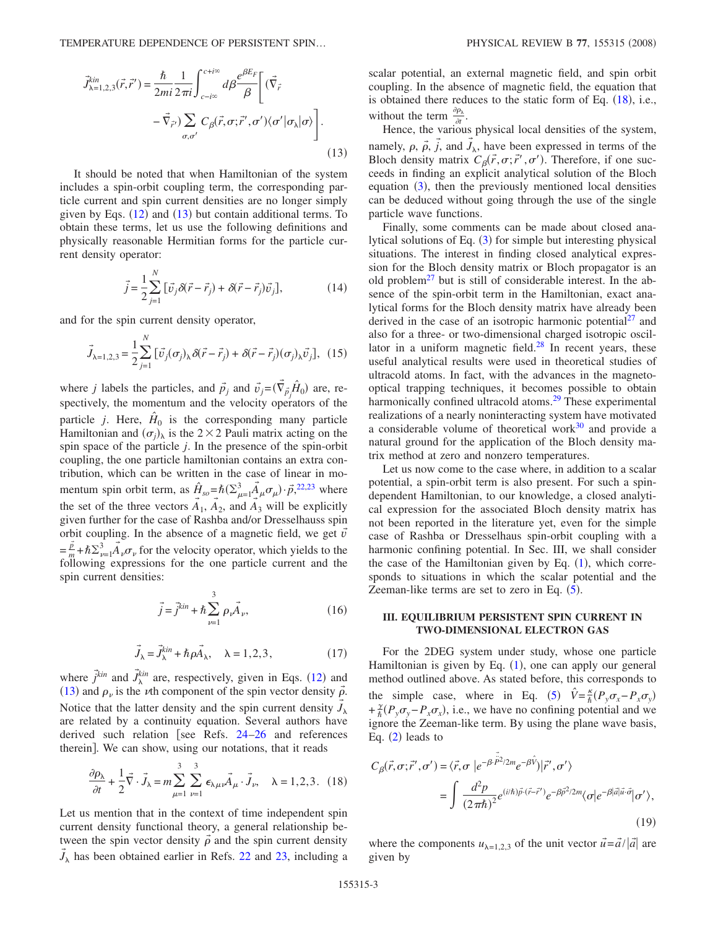<span id="page-2-0"></span>
$$
\vec{J}^{kin}_{\lambda=1,2,3}(\vec{r},\vec{r}') = \frac{\hbar}{2mi} \frac{1}{2\pi i} \int_{c-i\infty}^{c+i\infty} d\beta \frac{e^{\beta E_F}}{\beta} \left[ (\vec{\nabla}_{\vec{r}} -\vec{\nabla}_{\vec{r}'}) \sum_{\sigma,\sigma'} C_{\beta}(\vec{r},\sigma;\vec{r}',\sigma') \langle \sigma' | \sigma_{\lambda} | \sigma \rangle \right].
$$
\n(13)

It should be noted that when Hamiltonian of the system includes a spin-orbit coupling term, the corresponding particle current and spin current densities are no longer simply given by Eqs.  $(12)$  $(12)$  $(12)$  and  $(13)$  $(13)$  $(13)$  but contain additional terms. To obtain these terms, let us use the following definitions and physically reasonable Hermitian forms for the particle current density operator:

$$
\vec{j} = \frac{1}{2} \sum_{j=1}^{N} [\vec{v}_j \delta(\vec{r} - \vec{r}_j) + \delta(\vec{r} - \vec{r}_j)\vec{v}_j],
$$
(14)

and for the spin current density operator,

$$
\vec{J}_{\lambda=1,2,3} = \frac{1}{2} \sum_{j=1}^{N} \left[ \vec{v}_j(\sigma_j)_\lambda \delta(\vec{r} - \vec{r}_j) + \delta(\vec{r} - \vec{r}_j)(\sigma_j)_\lambda \vec{v}_j \right], \tag{15}
$$

where *j* labels the particles, and  $\vec{p}_j$  and  $\vec{v}_j = (\vec{\nabla}_{\vec{p}_j} \hat{H}_0)$  are, respectively, the momentum and the velocity operators of the particle *j*. Here,  $H_0$  is the corresponding many particle Hamiltonian and  $(\sigma_j)$ <sub> $\lambda$ </sub> is the 2 × 2 Pauli matrix acting on the spin space of the particle *j*. In the presence of the spin-orbit coupling, the one particle hamiltonian contains an extra contribution, which can be written in the case of linear in momentum spin orbit term, as  $\hat{H}_{so} = \hbar \left( \sum_{\mu=1}^{3} \vec{A}_{\mu} \sigma_{\mu} \right) \cdot \vec{p}^{22,23}$  $\hat{H}_{so} = \hbar \left( \sum_{\mu=1}^{3} \vec{A}_{\mu} \sigma_{\mu} \right) \cdot \vec{p}^{22,23}$  $\hat{H}_{so} = \hbar \left( \sum_{\mu=1}^{3} \vec{A}_{\mu} \sigma_{\mu} \right) \cdot \vec{p}^{22,23}$  $\hat{H}_{so} = \hbar \left( \sum_{\mu=1}^{3} \vec{A}_{\mu} \sigma_{\mu} \right) \cdot \vec{p}^{22,23}$ , where the set of the three vectors  $\vec{A}_1$ ,  $\vec{A}_2$ , and  $\vec{A}_3$  will be explicitly given further for the case of Rashba and/or Dresselhauss spin orbit coupling. In the absence of a magnetic field, we get  $\vec{v}$  $=\frac{\vec{p}}{m} + \hbar \sum_{\nu=1}^{3} \vec{A}_{\nu} \sigma_{\nu}$  for the velocity operator, which yields to the following expressions for the one particle current and the spin current densities:

$$
\vec{j} = \vec{j}^{kin} + \hbar \sum_{\nu=1}^{3} \rho_{\nu} \vec{A}_{\nu},
$$
 (16)

$$
\vec{J}_{\lambda} = \vec{J}_{\lambda}^{kin} + \hbar \rho \vec{A}_{\lambda}, \quad \lambda = 1, 2, 3,
$$
 (17)

<span id="page-2-4"></span><span id="page-2-3"></span>where  $\vec{j}^{kin}$  and  $\vec{J}^{kin}_{\lambda}$  are, respectively, given in Eqs. ([12](#page-1-4)) and ([13](#page-2-0)) and  $\rho_{\nu}$  is the  $\nu$ th component of the spin vector density  $\vec{\rho}$ . Notice that the latter density and the spin current density  $J_{\lambda}$ are related by a continuity equation. Several authors have derived such relation [see Refs.  $24-26$  $24-26$  and references therein]. We can show, using our notations, that it reads

<span id="page-2-1"></span>
$$
\frac{\partial \rho_{\lambda}}{\partial t} + \frac{1}{2} \vec{\nabla} \cdot \vec{J}_{\lambda} = m \sum_{\mu=1}^{3} \sum_{\nu=1}^{3} \epsilon_{\lambda \mu \nu} \vec{A}_{\mu} \cdot \vec{J}_{\nu}, \quad \lambda = 1, 2, 3. \quad (18)
$$

Let us mention that in the context of time independent spin current density functional theory, a general relationship between the spin vector density  $\vec{\rho}$  and the spin current density  $\vec{J}_\lambda$  has been obtained earlier in Refs. [22](#page-9-15) and [23,](#page-9-16) including a

scalar potential, an external magnetic field, and spin orbit coupling. In the absence of magnetic field, the equation that is obtained there reduces to the static form of Eq.  $(18)$  $(18)$  $(18)$ , i.e., without the term  $\frac{\partial \rho_{\lambda}}{\partial t}$ .

Hence, the various physical local densities of the system, namely,  $\rho$ ,  $\vec{\rho}$ , *j*, and *J*<sub> $\lambda$ </sub>, have been expressed in terms of the Bloch density matrix  $C_{\beta}(\vec{r}, \sigma; \vec{r}', \sigma')$ . Therefore, if one succeeds in finding an explicit analytical solution of the Bloch equation ([3](#page-1-5)), then the previously mentioned local densities can be deduced without going through the use of the single particle wave functions.

Finally, some comments can be made about closed ana-lytical solutions of Eq. ([3](#page-1-5)) for simple but interesting physical situations. The interest in finding closed analytical expression for the Bloch density matrix or Bloch propagator is an old problem<sup>27</sup> but is still of considerable interest. In the absence of the spin-orbit term in the Hamiltonian, exact analytical forms for the Bloch density matrix have already been derived in the case of an isotropic harmonic potential<sup>27</sup> and also for a three- or two-dimensional charged isotropic oscillator in a uniform magnetic field. $28$  In recent years, these useful analytical results were used in theoretical studies of ultracold atoms. In fact, with the advances in the magnetooptical trapping techniques, it becomes possible to obtain harmonically confined ultracold atoms.<sup>29</sup> These experimental realizations of a nearly noninteracting system have motivated a considerable volume of theoretical work $30$  and provide a natural ground for the application of the Bloch density matrix method at zero and nonzero temperatures.

Let us now come to the case where, in addition to a scalar potential, a spin-orbit term is also present. For such a spindependent Hamiltonian, to our knowledge, a closed analytical expression for the associated Bloch density matrix has not been reported in the literature yet, even for the simple case of Rashba or Dresselhaus spin-orbit coupling with a harmonic confining potential. In Sec. III, we shall consider the case of the Hamiltonian given by Eq.  $(1)$  $(1)$  $(1)$ , which corresponds to situations in which the scalar potential and the Zeeman-like terms are set to zero in Eq.  $(5)$  $(5)$  $(5)$ .

### **III. EQUILIBRIUM PERSISTENT SPIN CURRENT IN TWO-DIMENSIONAL ELECTRON GAS**

For the 2DEG system under study, whose one particle Hamiltonian is given by Eq.  $(1)$  $(1)$  $(1)$ , one can apply our general method outlined above. As stated before, this corresponds to the simple case, where in Eq. ([5](#page-1-6))  $\hat{V} = \frac{\kappa}{\hbar} (P_y \sigma_x - P_x \sigma_y)$  $+\frac{\gamma}{\hbar}(P_y\sigma_y-P_x\sigma_x)$ , i.e., we have no confining potential and we ignore the Zeeman-like term. By using the plane wave basis, Eq.  $(2)$  $(2)$  $(2)$  leads to

<span id="page-2-2"></span>
$$
C_{\beta}(\vec{r}, \sigma; \vec{r}', \sigma') = \langle \vec{r}, \sigma | e^{-\beta \cdot \vec{P}^2 / 2m} e^{-\beta \hat{V}} \rangle |\vec{r}', \sigma' \rangle
$$
  
= 
$$
\int \frac{d^2 p}{(2\pi\hbar)^2} e^{(i/\hbar)\vec{p}\cdot(\vec{r}-\vec{r}')} e^{-\beta \vec{p}^2 / 2m} \langle \sigma | e^{-\beta |\vec{a}| \vec{u}\cdot\vec{\sigma}} | \sigma' \rangle,
$$
(19)

where the components  $u_{\lambda=1,2,3}$  of the unit vector  $\vec{u} = \vec{a}/|\vec{a}|$  are given by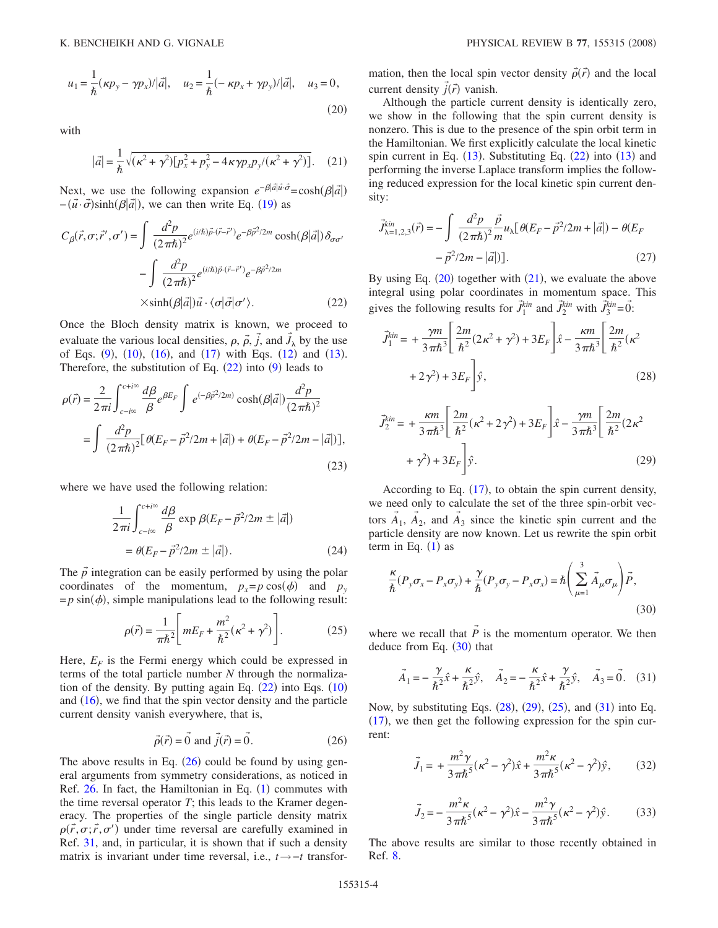<span id="page-3-2"></span>
$$
u_1 = \frac{1}{\hbar} (\kappa p_y - \gamma p_x) / |\vec{a}|, \quad u_2 = \frac{1}{\hbar} (-\kappa p_x + \gamma p_y) / |\vec{a}|, \quad u_3 = 0,
$$
\n(20)

<span id="page-3-3"></span>with

$$
|\vec{a}| = \frac{1}{\hbar} \sqrt{(\kappa^2 + \gamma^2) [p_x^2 + p_y^2 - 4\kappa \gamma p_x p_y / (\kappa^2 + \gamma^2)]}. \quad (21)
$$

Next, we use the following expansion  $e^{-\beta |\vec{a}| \vec{u} \cdot \vec{\sigma}} = \cosh(\beta |\vec{a}|)$  $-(\vec{u} \cdot \vec{\sigma})\sinh(\beta|\vec{a}|)$ , we can then write Eq. ([19](#page-2-2)) as

<span id="page-3-0"></span>
$$
C_{\beta}(\vec{r}, \sigma; \vec{r}', \sigma') = \int \frac{d^2 p}{(2\pi\hbar)^2} e^{(i/\hbar)\vec{p}\cdot(\vec{r}-\vec{r}')} e^{-\beta \vec{p}^2/2m} \cosh(\beta|\vec{a}|) \delta_{\sigma\sigma'} - \int \frac{d^2 p}{(2\pi\hbar)^2} e^{(i/\hbar)\vec{p}\cdot(\vec{r}-\vec{r}')} e^{-\beta \vec{p}^2/2m}
$$

$$
\times \sinh(\beta|\vec{a}|)\vec{u}\cdot\langle\sigma|\vec{\sigma}|\sigma'\rangle. \tag{22}
$$

Once the Bloch density matrix is known, we proceed to evaluate the various local densities,  $\rho$ ,  $\vec{\rho}$ ,  $\vec{j}$ , and  $\vec{J}_{\lambda}$  by the use of Eqs. ([9](#page-1-2)), ([10](#page-1-3)), ([16](#page-2-3)), and ([17](#page-2-4)) with Eqs. ([12](#page-1-4)) and ([13](#page-2-0)). Therefore, the substitution of Eq.  $(22)$  $(22)$  $(22)$  into  $(9)$  $(9)$  $(9)$  leads to

<span id="page-3-9"></span>
$$
\rho(\vec{r}) = \frac{2}{2\pi i} \int_{c-i\infty}^{c+i\infty} \frac{d\beta}{\beta} e^{\beta E_F} \int e^{(-\beta \vec{p}^2/2m)} \cosh(\beta |\vec{a}|) \frac{d^2 p}{(2\pi\hbar)^2}
$$

$$
= \int \frac{d^2 p}{(2\pi\hbar)^2} [\theta(E_F - \vec{p}^2/2m + |\vec{a}|) + \theta(E_F - \vec{p}^2/2m - |\vec{a}|)], \tag{23}
$$

where we have used the following relation:

$$
\frac{1}{2\pi i} \int_{c-i\infty}^{c+i\infty} \frac{d\beta}{\beta} \exp \beta (E_F - \vec{p}^2 / 2m \pm |\vec{a}|)
$$

$$
= \theta (E_F - \vec{p}^2 / 2m \pm |\vec{a}|). \tag{24}
$$

The  $\vec{p}$  integration can be easily performed by using the polar coordinates of the momentum,  $p_x = p \cos(\phi)$  and  $p_y$  $=p \sin(\phi)$ , simple manipulations lead to the following result:

$$
\rho(\vec{r}) = \frac{1}{\pi \hbar^2} \left[ mE_F + \frac{m^2}{\hbar^2} (\kappa^2 + \gamma^2) \right].
$$
 (25)

<span id="page-3-7"></span>Here,  $E_F$  is the Fermi energy which could be expressed in terms of the total particle number *N* through the normalization of the density. By putting again Eq.  $(22)$  $(22)$  $(22)$  into Eqs.  $(10)$  $(10)$  $(10)$ and  $(16)$  $(16)$  $(16)$ , we find that the spin vector density and the particle current density vanish everywhere, that is,

$$
\vec{\rho}(\vec{r}) = \vec{0}
$$
 and  $\vec{j}(\vec{r}) = \vec{0}$ . (26)

<span id="page-3-1"></span>The above results in Eq.  $(26)$  $(26)$  $(26)$  could be found by using general arguments from symmetry considerations, as noticed in Ref.  $26$ . In fact, the Hamiltonian in Eq.  $(1)$  $(1)$  $(1)$  commutes with the time reversal operator *T*; this leads to the Kramer degeneracy. The properties of the single particle density matrix  $\rho(\vec{r},\sigma;\vec{r},\sigma')$  under time reversal are carefully examined in Ref. [31,](#page-9-22) and, in particular, it is shown that if such a density matrix is invariant under time reversal, i.e., *t*→−*t* transformation, then the local spin vector density  $\vec{\rho}(\vec{r})$  and the local current density  $\vec{j}(\vec{r})$  vanish.

Although the particle current density is identically zero, we show in the following that the spin current density is nonzero. This is due to the presence of the spin orbit term in the Hamiltonian. We first explicitly calculate the local kinetic spin current in Eq.  $(13)$  $(13)$  $(13)$ . Substituting Eq.  $(22)$  $(22)$  $(22)$  into  $(13)$  and performing the inverse Laplace transform implies the following reduced expression for the local kinetic spin current density:

<span id="page-3-10"></span>
$$
\vec{J}_{\lambda=1,2,3}^{kin}(\vec{r}) = -\int \frac{d^2 p}{(2\pi\hbar)^2} \frac{\vec{p}}{m} u_{\lambda} [\theta(E_F - \vec{p}^2/2m + |\vec{a}|) - \theta(E_F - \vec{p}^2/2m - |\vec{a}|)].
$$
\n(27)

By using Eq.  $(20)$  $(20)$  $(20)$  together with  $(21)$  $(21)$  $(21)$ , we evaluate the above integral using polar coordinates in momentum space. This gives the following results for  $\vec{J}_1^{kin}$  and  $\vec{J}_2^{kin}$  with  $\vec{J}_3^{kin} = \vec{0}$ :

<span id="page-3-5"></span>
$$
\vec{J}_1^{kin} = +\frac{\gamma m}{3\pi\hbar^3} \left[ \frac{2m}{\hbar^2} (2\kappa^2 + \gamma^2) + 3E_F \right] \hat{x} - \frac{\kappa m}{3\pi\hbar^3} \left[ \frac{2m}{\hbar^2} (\kappa^2 + 2\gamma^2) + 3E_F \right] \hat{y},\tag{28}
$$

<span id="page-3-6"></span>
$$
\vec{J}_2^{kin} = +\frac{\kappa m}{3\pi\hbar^3} \left[ \frac{2m}{\hbar^2} (\kappa^2 + 2\gamma^2) + 3E_F \right] \hat{x} - \frac{\gamma m}{3\pi\hbar^3} \left[ \frac{2m}{\hbar^2} (2\kappa^2 + \gamma^2) + 3E_F \right] \hat{y}.
$$
\n(29)

According to Eq.  $(17)$  $(17)$  $(17)$ , to obtain the spin current density, we need only to calculate the set of the three spin-orbit vectors  $\vec{A}_1$ ,  $\vec{A}_2$ , and  $\vec{A}_3$  since the kinetic spin current and the particle density are now known. Let us rewrite the spin orbit term in Eq.  $(1)$  $(1)$  $(1)$  as

<span id="page-3-4"></span>
$$
\frac{\kappa}{\hbar}(P_y \sigma_x - P_x \sigma_y) + \frac{\gamma}{\hbar}(P_y \sigma_y - P_x \sigma_x) = \hbar \left(\sum_{\mu=1}^3 \vec{A}_{\mu} \sigma_{\mu}\right) \vec{P},
$$
\n(30)

<span id="page-3-8"></span>where we recall that  $\vec{P}$  is the momentum operator. We then deduce from Eq.  $(30)$  $(30)$  $(30)$  that

$$
\vec{A}_1 = -\frac{\gamma}{\hbar^2} \hat{x} + \frac{\kappa}{\hbar^2} \hat{y}, \quad \vec{A}_2 = -\frac{\kappa}{\hbar^2} \hat{x} + \frac{\gamma}{\hbar^2} \hat{y}, \quad \vec{A}_3 = \vec{0}. \quad (31)
$$

<span id="page-3-11"></span>Now, by substituting Eqs.  $(28)$  $(28)$  $(28)$ ,  $(29)$  $(29)$  $(29)$ ,  $(25)$  $(25)$  $(25)$ , and  $(31)$  $(31)$  $(31)$  into Eq.  $(17)$  $(17)$  $(17)$ , we then get the following expression for the spin current:

$$
\vec{J}_1 = +\frac{m^2 \gamma}{3\pi \hbar^5} (\kappa^2 - \gamma^2) \hat{x} + \frac{m^2 \kappa}{3\pi \hbar^5} (\kappa^2 - \gamma^2) \hat{y},\qquad(32)
$$

$$
\vec{J}_2 = -\frac{m^2 \kappa}{3 \pi \hbar^5} (\kappa^2 - \gamma^2) \hat{x} - \frac{m^2 \gamma}{3 \pi \hbar^5} (\kappa^2 - \gamma^2) \hat{y}.
$$
 (33)

<span id="page-3-12"></span>The above results are similar to those recently obtained in Ref. [8.](#page-9-23)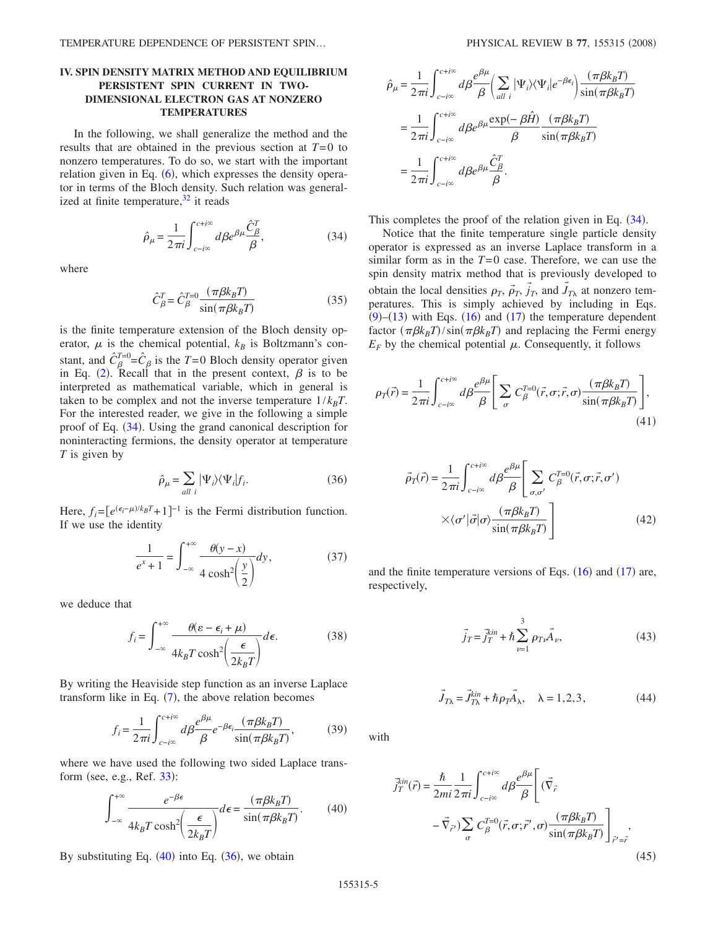## **IV. SPIN DENSITY MATRIX METHOD AND EQUILIBRIUM PERSISTENT SPIN CURRENT IN TWO-DIMENSIONAL ELECTRON GAS AT NONZERO TEMPERATURES**

In the following, we shall generalize the method and the results that are obtained in the previous section at  $T=0$  to nonzero temperatures. To do so, we start with the important relation given in Eq. ([6](#page-1-0)), which expresses the density operator in terms of the Bloch density. Such relation was generalized at finite temperature, $32$  it reads

$$
\hat{\rho}_{\mu} = \frac{1}{2\pi i} \int_{c-i\infty}^{c+i\infty} d\beta e^{\beta \mu} \frac{\hat{C}_{\beta}^{T}}{\beta},
$$
\n(34)

<span id="page-4-0"></span>where

$$
\hat{C}_{\beta}^{T} = \hat{C}_{\beta}^{T=0} \frac{(\pi \beta k_{B} T)}{\sin(\pi \beta k_{B} T)}
$$
(35)

is the finite temperature extension of the Bloch density operator,  $\mu$  is the chemical potential,  $k_B$  is Boltzmann's constant, and  $\hat{C}_{\beta}^{T=0} = \hat{C}_{\beta}$  is the *T*=0 Bloch density operator given in Eq. ([2](#page-1-7)). Recall that in the present context,  $\beta$  is to be interpreted as mathematical variable, which in general is taken to be complex and not the inverse temperature  $1/k_BT$ . For the interested reader, we give in the following a simple proof of Eq. ([34](#page-4-0)). Using the grand canonical description for noninteracting fermions, the density operator at temperature *T* is given by

$$
\hat{\rho}_{\mu} = \sum_{all \ i} |\Psi_i\rangle\langle\Psi_i| f_i. \tag{36}
$$

<span id="page-4-2"></span>Here,  $f_i = [e^{(\epsilon_i - \mu)/k_B T} + 1]^{-1}$  is the Fermi distribution function. If we use the identity

$$
\frac{1}{e^x + 1} = \int_{-\infty}^{+\infty} \frac{\theta(y - x)}{4 \cosh^2\left(\frac{y}{2}\right)} dy,
$$
 (37)

we deduce that

$$
f_i = \int_{-\infty}^{+\infty} \frac{\theta(\varepsilon - \epsilon_i + \mu)}{4k_B T \cosh^2\left(\frac{\epsilon}{2k_B T}\right)} d\varepsilon.
$$
 (38)

By writing the Heaviside step function as an inverse Laplace transform like in Eq.  $(7)$  $(7)$  $(7)$ , the above relation becomes

$$
f_i = \frac{1}{2\pi i} \int_{c-i\infty}^{c+i\infty} d\beta \frac{e^{\beta \mu}}{\beta} e^{-\beta \epsilon_i} \frac{(\pi \beta k_B T)}{\sin(\pi \beta k_B T)},
$$
(39)

<span id="page-4-1"></span>where we have used the following two sided Laplace transform (see, e.g., Ref.  $33$ ):

$$
\int_{-\infty}^{+\infty} \frac{e^{-\beta \epsilon}}{4k_B T \cosh^2 \left(\frac{\epsilon}{2k_B T}\right)} d\epsilon = \frac{(\pi \beta k_B T)}{\sin(\pi \beta k_B T)}.
$$
 (40)

By substituting Eq.  $(40)$  $(40)$  $(40)$  into Eq.  $(36)$  $(36)$  $(36)$ , we obtain

$$
\hat{\rho}_{\mu} = \frac{1}{2\pi i} \int_{c-i\infty}^{c+i\infty} d\beta \frac{e^{\beta \mu}}{\beta} \left( \sum_{all \ i} |\Psi_{i}\rangle \langle \Psi_{i}| e^{-\beta \epsilon_{i}} \right) \frac{(\pi \beta k_{B} T)}{\sin(\pi \beta k_{B} T)}
$$

$$
= \frac{1}{2\pi i} \int_{c-i\infty}^{c+i\infty} d\beta e^{\beta \mu} \frac{\exp(-\beta \hat{H})}{\beta} \frac{(\pi \beta k_{B} T)}{\sin(\pi \beta k_{B} T)}
$$

$$
= \frac{1}{2\pi i} \int_{c-i\infty}^{c+i\infty} d\beta e^{\beta \mu} \frac{\hat{C}_{\beta}^{T}}{\beta}.
$$

This completes the proof of the relation given in Eq. ([34](#page-4-0)).

Notice that the finite temperature single particle density operator is expressed as an inverse Laplace transform in a similar form as in the  $T=0$  case. Therefore, we can use the spin density matrix method that is previously developed to obtain the local densities  $\rho_T$ ,  $\vec{\rho}_T$ ,  $\vec{j}_T$ , and  $\vec{J}_{T\lambda}$  at nonzero temperatures. This is simply achieved by including in Eqs.  $(9)$  $(9)$  $(9)$ – $(13)$  $(13)$  $(13)$  with Eqs.  $(16)$  $(16)$  $(16)$  and  $(17)$  $(17)$  $(17)$  the temperature dependent factor  $(\pi \beta k_B T) / \sin(\pi \beta k_B T)$  and replacing the Fermi energy  $E_F$  by the chemical potential  $\mu$ . Consequently, it follows

<span id="page-4-3"></span>
$$
\rho_T(\vec{r}) = \frac{1}{2\pi i} \int_{c-i\infty}^{c+i\infty} d\beta \frac{e^{\beta\mu}}{\beta} \left[ \sum_{\sigma} C_{\beta}^{T=0}(\vec{r}, \sigma; \vec{r}, \sigma) \frac{(\pi\beta k_B T)}{\sin(\pi\beta k_B T)} \right],
$$
\n(41)

$$
\vec{\rho}_T(\vec{r}) = \frac{1}{2\pi i} \int_{c-i\infty}^{c+i\infty} d\beta \frac{e^{\beta \mu}}{\beta} \left[ \sum_{\sigma,\sigma'} C_{\beta}^{T=0}(\vec{r}, \sigma; \vec{r}, \sigma') \right] \times \langle \sigma' | \vec{\sigma} | \sigma \rangle \frac{(\pi \beta k_B T)}{\sin(\pi \beta k_B T)} \right]
$$
(42)

and the finite temperature versions of Eqs.  $(16)$  $(16)$  $(16)$  and  $(17)$  $(17)$  $(17)$  are, respectively,

$$
\vec{j}_T = \vec{j}_T^{kin} + \hbar \sum_{\nu=1}^3 \rho_{T\nu} \vec{A}_\nu, \tag{43}
$$

$$
\vec{J}_{T\lambda} = \vec{J}_{T\lambda}^{kin} + \hbar \rho_T \vec{A}_{\lambda}, \quad \lambda = 1, 2, 3,
$$
 (44)

<span id="page-4-4"></span>with

$$
\vec{j}_{T}^{kin}(\vec{r}) = \frac{\hbar}{2mi} \frac{1}{2\pi i} \int_{c-i\infty}^{c+i\infty} d\beta \frac{e^{\beta\mu}}{\beta} \left[ (\vec{\nabla}_{\vec{r}} - \vec{\nabla}_{\vec{r}'}) \sum_{\sigma} C_{\beta}^{T=0}(\vec{r}, \sigma; \vec{r}', \sigma) \frac{(\pi\beta k_{B}T)}{\sin(\pi\beta k_{B}T)} \right]_{\vec{r}' = \vec{r}},
$$
\n(45)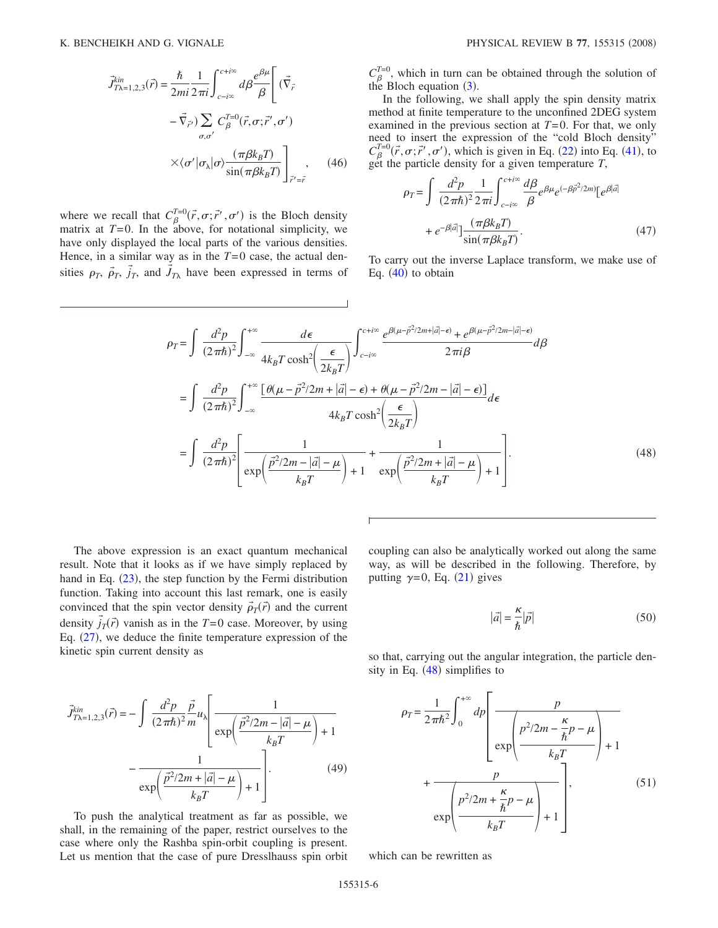$$
\vec{J}_{T\lambda=1,2,3}^{kin}(\vec{r}) = \frac{\hbar}{2mi} \frac{1}{2\pi i} \int_{c-i\infty}^{c+i\infty} d\beta \frac{e^{\beta \mu}}{\beta} \left[ (\vec{\nabla}_{\vec{r}} -\vec{\nabla}_{\vec{r}'}) \sum_{\sigma,\sigma'} C_{\beta}^{T=0}(\vec{r},\sigma;\vec{r}',\sigma') \right. \\
\times \langle \sigma' | \sigma_{\lambda} | \sigma \rangle \frac{(\pi \beta k_B T)}{\sin(\pi \beta k_B T)} \bigg]_{\vec{r}' = \vec{r}} , \quad (46)
$$

where we recall that  $C_{\beta}^{T=0}(\vec{r}, \sigma; \vec{r}', \sigma')$  is the Bloch density matrix at  $T=0$ . In the above, for notational simplicity, we have only displayed the local parts of the various densities. Hence, in a similar way as in the  $T=0$  case, the actual densities  $\rho_T$ ,  $\vec{\rho}_T$ ,  $\vec{j}_T$ , and  $\vec{J}_{T\lambda}$  have been expressed in terms of  $C_{\beta}^{T=0}$ , which in turn can be obtained through the solution of the Bloch equation  $(3)$  $(3)$  $(3)$ .

In the following, we shall apply the spin density matrix method at finite temperature to the unconfined 2DEG system examined in the previous section at *T*= 0. For that, we only need to insert the expression of the "cold Bloch density"  $C_{\beta}^{T=0}(\vec{r}, \sigma; \vec{r}', \sigma')$ , which is given in Eq. ([22](#page-3-0)) into Eq. ([41](#page-4-3)), to get the particle density for a given temperature *T*,

<span id="page-5-0"></span>
$$
\rho_T = \int \frac{d^2 p}{(2\pi\hbar)^2} \frac{1}{2\pi i} \int_{c-i\infty}^{c+i\infty} \frac{d\beta}{\beta} e^{\beta \mu} e^{(-\beta \tilde{p}^2/2m)} [e^{\beta |\vec{a}|} + e^{-\beta |\vec{a}|}] \frac{(\pi \beta k_B T)}{\sin(\pi \beta k_B T)}.
$$
\n(47)

To carry out the inverse Laplace transform, we make use of Eq.  $(40)$  $(40)$  $(40)$  to obtain

$$
\rho_{T} = \int \frac{d^{2}p}{(2\pi\hbar)^{2}} \int_{-\infty}^{+\infty} \frac{d\epsilon}{4k_{B}T \cosh^{2}(\frac{\epsilon}{2k_{B}T})} \int_{c-i\infty}^{c+i\infty} \frac{e^{\beta(\mu-\vec{p}^{2}/2m+|\vec{a}|-\epsilon)} + e^{\beta(\mu-\vec{p}^{2}/2m-|\vec{a}|-\epsilon)}}{2\pi i\beta} d\beta
$$
  
\n
$$
= \int \frac{d^{2}p}{(2\pi\hbar)^{2}} \int_{-\infty}^{+\infty} \frac{\left[\theta(\mu-\vec{p}^{2}/2m+|\vec{a}|-\epsilon) + \theta(\mu-\vec{p}^{2}/2m-|\vec{a}|-\epsilon)\right]}{4k_{B}T \cosh^{2}(\frac{\epsilon}{2k_{B}T})} d\epsilon
$$
  
\n
$$
= \int \frac{d^{2}p}{(2\pi\hbar)^{2}} \left[ \frac{1}{\exp(\frac{\vec{p}^{2}/2m-|\vec{a}|-\mu}{k_{B}T}) + 1} + \frac{1}{\exp(\frac{\vec{p}^{2}/2m+|\vec{a}|-\mu}{k_{B}T}) + 1} \right].
$$
\n(48)

The above expression is an exact quantum mechanical result. Note that it looks as if we have simply replaced by hand in Eq. ([23](#page-3-9)), the step function by the Fermi distribution function. Taking into account this last remark, one is easily convinced that the spin vector density  $\vec{\rho}_T(\vec{r})$  and the current density  $\vec{j}_T(\vec{r})$  vanish as in the *T*=0 case. Moreover, by using Eq.  $(27)$  $(27)$  $(27)$ , we deduce the finite temperature expression of the kinetic spin current density as

<span id="page-5-1"></span>
$$
\vec{J}_{T_{\lambda=1,2,3}}^{kin}(\vec{r}) = -\int \frac{d^2 p}{(2\pi\hbar)^2} \frac{\vec{p}}{m} u_{\lambda} \left[ \frac{1}{\exp\left(\frac{\vec{p}^2/2m - |\vec{a}| - \mu}{k_B T}\right) + 1} - \frac{1}{\exp\left(\frac{\vec{p}^2/2m + |\vec{a}| - \mu}{k_B T}\right) + 1} \right].
$$
\n(49)

To push the analytical treatment as far as possible, we shall, in the remaining of the paper, restrict ourselves to the case where only the Rashba spin-orbit coupling is present. Let us mention that the case of pure Dresslhauss spin orbit coupling can also be analytically worked out along the same way, as will be described in the following. Therefore, by putting  $\gamma = 0$ , Eq. ([21](#page-3-3)) gives

$$
|\vec{a}| = \frac{\kappa}{\hbar} |\vec{p}| \tag{50}
$$

so that, carrying out the angular integration, the particle density in Eq.  $(48)$  $(48)$  $(48)$  simplifies to

$$
\rho_T = \frac{1}{2\pi\hbar^2} \int_0^{+\infty} dp \left[ \frac{p}{\exp\left(\frac{p^2/2m - \frac{\kappa}{\hbar}p - \mu}{k_B T}\right) + 1} + \frac{p}{\exp\left(\frac{p^2/2m + \frac{\kappa}{\hbar}p - \mu}{k_B T}\right) + 1} \right],
$$
\n(51)

which can be rewritten as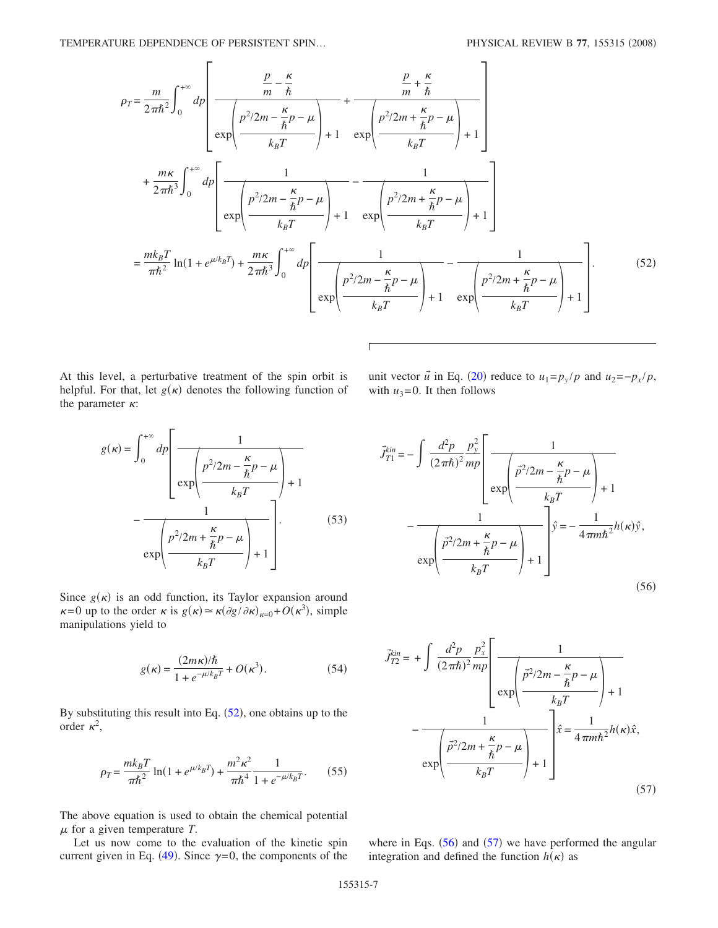<span id="page-6-0"></span>TEMPERATURE DEPENDENCE OF PERSISTENT SPIN...

 $\overline{a}$ 

 $\overline{a}$ 

$$
\rho_T = \frac{m}{2\pi\hbar^2} \int_0^{+\infty} dp \left[ \frac{\frac{p}{m} - \frac{\kappa}{\hbar}}{\exp\left(\frac{p^2/2m - \frac{\kappa}{\hbar}p - \mu}{k_B T}\right) + 1} + \frac{\frac{p}{m} + \frac{\kappa}{\hbar}}{\exp\left(\frac{p^2/2m + \frac{\kappa}{\hbar}p - \mu}{k_B T}\right) + 1} \right]
$$
  
+ 
$$
\frac{m\kappa}{2\pi\hbar^3} \int_0^{+\infty} dp \left[ \frac{1}{\exp\left(\frac{p^2/2m - \frac{\kappa}{\hbar}p - \mu}{k_B T}\right) + 1} - \frac{1}{\exp\left(\frac{p^2/2m + \frac{\kappa}{\hbar}p - \mu}{k_B T}\right) + 1} \right]
$$
  
= 
$$
\frac{m k_B T}{\pi\hbar^2} \ln(1 + e^{\mu/k_B T}) + \frac{m\kappa}{2\pi\hbar^3} \int_0^{+\infty} dp \left[ \frac{1}{\exp\left(\frac{p^2/2m - \frac{\kappa}{\hbar}p - \mu}{k_B T}\right) + 1} - \frac{1}{\exp\left(\frac{p^2/2m + \frac{\kappa}{\hbar}p - \mu}{k_B T}\right) + 1} \right].
$$
(52)

At this level, a perturbative treatment of the spin orbit is helpful. For that, let  $g(\kappa)$  denotes the following function of the parameter  $\kappa$ :

unit vector  $\vec{u}$  in Eq. ([20](#page-3-2)) reduce to  $u_1 = p_y/p$  and  $u_2 = -p_x/p$ , with  $u_3 = 0$ . It then follows

$$
g(\kappa) = \int_0^{+\infty} dp \left[ \frac{1}{\exp\left(\frac{p^2/2m - \frac{\kappa}{\hbar}p - \mu}{k_B T}\right) + 1} - \frac{1}{\exp\left(\frac{p^2/2m + \frac{\kappa}{\hbar}p - \mu}{k_B T}\right) + 1} \right] \tag{53}
$$

Since  $g(\kappa)$  is an odd function, its Taylor expansion around  $\kappa$ =0 up to the order  $\kappa$  is  $g(\kappa) \approx \kappa (\partial g / \partial \kappa)_{\kappa=0} + O(\kappa^3)$ , simple manipulations yield to

$$
g(\kappa) = \frac{(2m\kappa)/\hbar}{1 + e^{-\mu/k_B T}} + O(\kappa^3). \tag{54}
$$

<span id="page-6-3"></span>By substituting this result into Eq.  $(52)$  $(52)$  $(52)$ , one obtains up to the order  $\kappa^2$ ,

$$
\rho_T = \frac{mk_B T}{\pi \hbar^2} \ln(1 + e^{\mu / k_B T}) + \frac{m^2 \kappa^2}{\pi \hbar^4} \frac{1}{1 + e^{-\mu / k_B T}}.
$$
 (55)

The above equation is used to obtain the chemical potential  $\mu$  for a given temperature *T*.

Let us now come to the evaluation of the kinetic spin current given in Eq. ([49](#page-5-1)). Since  $\gamma=0$ , the components of the

<span id="page-6-1"></span>
$$
\vec{J}_{T1}^{kin} = -\int \frac{d^2 p}{(2\pi\hbar)^2} \frac{p_y^2}{mp} \left[ \frac{1}{\exp\left(\frac{\vec{p}^2/2m - \frac{\kappa}{\hbar}p - \mu}{k_B T}\right) + 1} - \frac{1}{\exp\left(\frac{\vec{p}^2/2m + \frac{\kappa}{\hbar}p - \mu}{k_B T}\right) + 1} \right] \hat{y} = -\frac{1}{4\pi m \hbar^2} h(\kappa) \hat{y},
$$
\n(56)

<span id="page-6-2"></span>
$$
\vec{J}_{T2}^{kin} = + \int \frac{d^2 p}{(2\pi\hbar)^2 m p} \left[ \frac{1}{\exp\left(\frac{\vec{p}^2/2m - \frac{\kappa}{\hbar}p - \mu}{k_B T}\right) + 1} - \frac{1}{\exp\left(\frac{\vec{p}^2/2m + \frac{\kappa}{\hbar}p - \mu}{k_B T}\right) + 1} \right] \hat{x} = \frac{1}{4\pi m \hbar^2} h(\kappa) \hat{x},
$$
\n
$$
\exp\left(\frac{\vec{p}^2/2m + \frac{\kappa}{\hbar}p - \mu}{k_B T}\right) + 1 \qquad (57)
$$

where in Eqs.  $(56)$  $(56)$  $(56)$  and  $(57)$  $(57)$  $(57)$  we have performed the angular integration and defined the function  $h(\kappa)$  as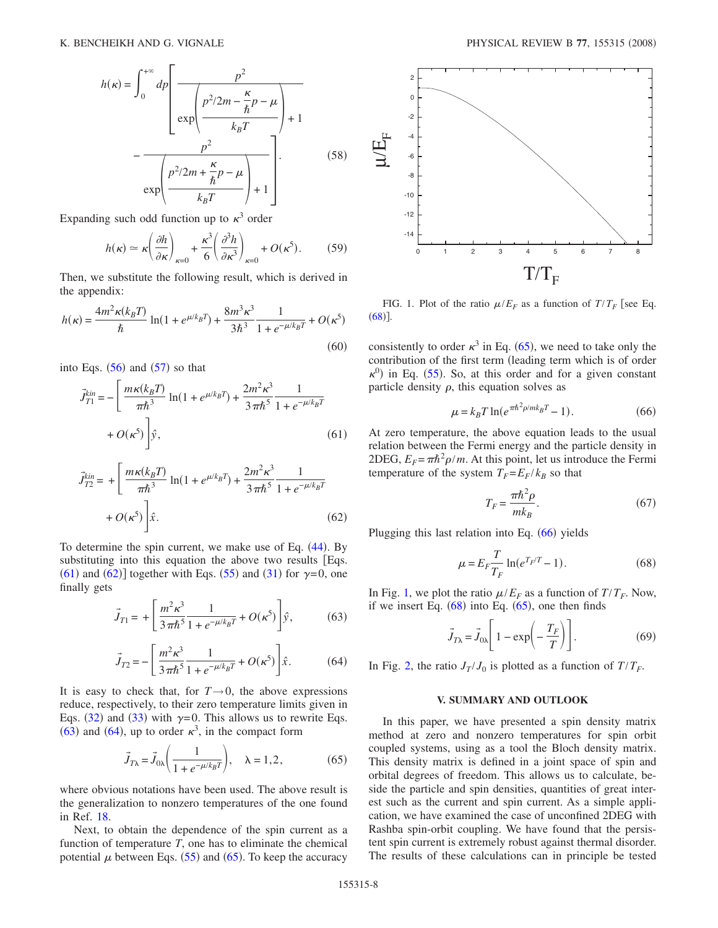<span id="page-7-9"></span>
$$
h(\kappa) = \int_0^{+\infty} dp \left[ \frac{p^2}{\exp\left(\frac{p^2}{2m} - \frac{\kappa}{\hbar}p - \mu\right)} \right] + 1
$$

$$
- \frac{p^2}{\exp\left(\frac{p^2}{2m} + \frac{\kappa}{\hbar}p - \mu\right)} \left[ . \tag{58}
$$

$$
\exp\left(\frac{p^2}{2m} + \frac{\kappa}{\hbar}p - \mu\right) + 1 \right]
$$

<span id="page-7-10"></span>Expanding such odd function up to  $\kappa^3$  order

$$
h(\kappa) \simeq \kappa \left(\frac{\partial h}{\partial \kappa}\right)_{\kappa=0} + \frac{\kappa^3}{6} \left(\frac{\partial^3 h}{\partial \kappa^3}\right)_{\kappa=0} + O(\kappa^5). \tag{59}
$$

Then, we substitute the following result, which is derived in the appendix:

<span id="page-7-8"></span>
$$
h(\kappa) = \frac{4m^2\kappa(k_B T)}{\hbar} \ln(1 + e^{\mu/k_B T}) + \frac{8m^3\kappa^3}{3\hbar^3} \frac{1}{1 + e^{-\mu/k_B T}} + O(\kappa^5)
$$
\n(60)

<span id="page-7-0"></span>into Eqs.  $(56)$  $(56)$  $(56)$  and  $(57)$  $(57)$  $(57)$  so that

$$
\vec{J}_{T1}^{kin} = -\left[\frac{m\kappa(k_BT)}{\pi\hbar^3} \ln(1 + e^{\mu/k_BT}) + \frac{2m^2\kappa^3}{3\pi\hbar^5} \frac{1}{1 + e^{-\mu/k_BT}} + O(\kappa^5)\right] \hat{y},\tag{61}
$$

<span id="page-7-1"></span>
$$
\vec{J}_{T2}^{kin} = + \left[ \frac{m\kappa(k_B T)}{\pi\hbar^3} \ln(1 + e^{\mu/k_B T}) + \frac{2m^2\kappa^3}{3\pi\hbar^5} \frac{1}{1 + e^{-\mu/k_B T}} + O(\kappa^5) \right] \hat{x}.
$$
\n(62)

<span id="page-7-2"></span>To determine the spin current, we make use of Eq. ([44](#page-4-4)). By substituting into this equation the above two results [Eqs. ([61](#page-7-0)) and ([62](#page-7-1))] together with Eqs. ([55](#page-6-3)) and ([31](#page-3-8)) for  $\gamma=0$ , one finally gets

$$
\vec{J}_{T1} = + \left[ \frac{m^2 \kappa^3}{3 \pi \hbar^5} \frac{1}{1 + e^{-\mu/k_B T}} + O(\kappa^5) \right] \hat{y},\tag{63}
$$

$$
\vec{J}_{T2} = -\left[\frac{m^2 \kappa^3}{3 \pi \hbar^5} \frac{1}{1 + e^{-\mu/k_B T}} + O(\kappa^5)\right] \hat{x}.
$$
 (64)

<span id="page-7-3"></span>It is easy to check that, for  $T \rightarrow 0$ , the above expressions reduce, respectively, to their zero temperature limits given in Eqs. ([32](#page-3-11)) and ([33](#page-3-12)) with  $\gamma = 0$ . This allows us to rewrite Eqs. ([63](#page-7-2)) and ([64](#page-7-3)), up to order  $\kappa^3$ , in the compact form

$$
\vec{J}_{T\lambda} = \vec{J}_{0\lambda} \left( \frac{1}{1 + e^{-\mu/k_B T}} \right), \quad \lambda = 1, 2,
$$
 (65)

<span id="page-7-4"></span>where obvious notations have been used. The above result is the generalization to nonzero temperatures of the one found in Ref. [18.](#page-9-11)

Next, to obtain the dependence of the spin current as a function of temperature *T*, one has to eliminate the chemical potential  $\mu$  between Eqs. ([55](#page-6-3)) and ([65](#page-7-4)). To keep the accuracy

<span id="page-7-6"></span>

FIG. 1. Plot of the ratio  $\mu/E_F$  as a function of  $T/T_F$  [see Eq.  $(68)$  $(68)$  $(68)$ ].

consistently to order  $\kappa^3$  in Eq. ([65](#page-7-4)), we need to take only the contribution of the first term (leading term which is of order  $\kappa$ <sup>0</sup>) in Eq. ([55](#page-6-3)). So, at this order and for a given constant particle density  $\rho$ , this equation solves as

$$
\mu = k_B T \ln(e^{\pi \hbar^2 \rho / m k_B T} - 1).
$$
 (66)

<span id="page-7-5"></span>At zero temperature, the above equation leads to the usual relation between the Fermi energy and the particle density in 2DEG,  $E_F = \pi \hbar^2 \rho / m$ . At this point, let us introduce the Fermi temperature of the system  $T_F = E_F/k_B$  so that

$$
T_F = \frac{\pi \hbar^2 \rho}{mk_B}.
$$
\n(67)

<span id="page-7-7"></span>Plugging this last relation into Eq. ([66](#page-7-5)) yields

$$
\mu = E_F \frac{T}{T_F} \ln(e^{T_F/T} - 1).
$$
 (68)

<span id="page-7-11"></span>In Fig. [1,](#page-7-6) we plot the ratio  $\mu/E_F$  as a function of  $T/T_F$ . Now, if we insert Eq.  $(68)$  $(68)$  $(68)$  into Eq.  $(65)$  $(65)$  $(65)$ , one then finds

$$
\vec{J}_{T\lambda} = \vec{J}_{0\lambda} \left[ 1 - \exp\left(-\frac{T_F}{T}\right) \right].
$$
 (69)

In Fig. [2,](#page-8-0) the ratio  $J_T / J_0$  is plotted as a function of  $T / T_F$ .

### **V. SUMMARY AND OUTLOOK**

In this paper, we have presented a spin density matrix method at zero and nonzero temperatures for spin orbit coupled systems, using as a tool the Bloch density matrix. This density matrix is defined in a joint space of spin and orbital degrees of freedom. This allows us to calculate, beside the particle and spin densities, quantities of great interest such as the current and spin current. As a simple application, we have examined the case of unconfined 2DEG with Rashba spin-orbit coupling. We have found that the persistent spin current is extremely robust against thermal disorder. The results of these calculations can in principle be tested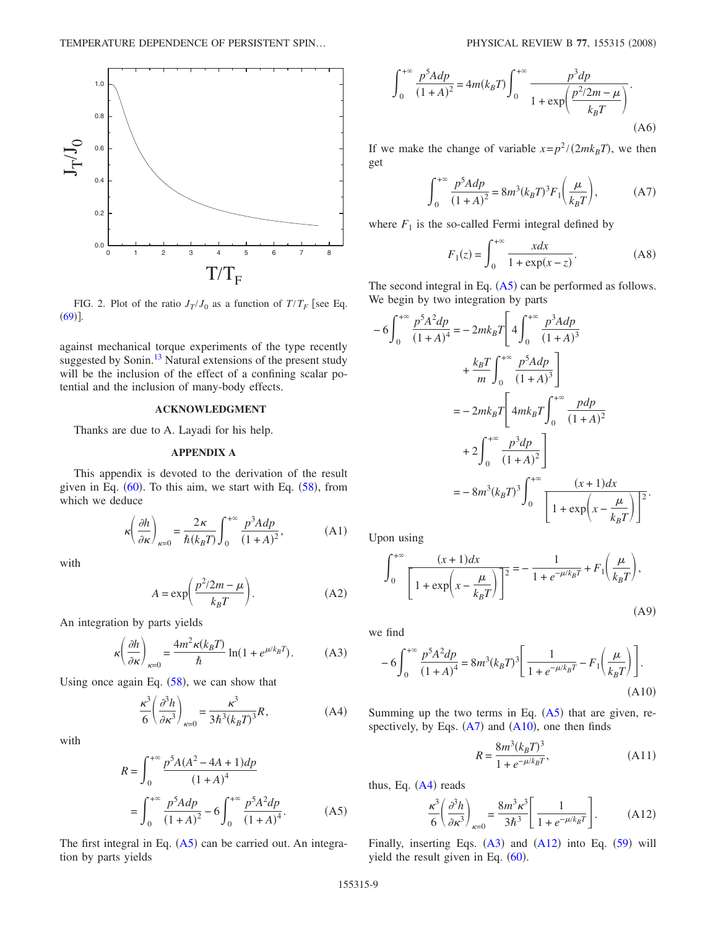<span id="page-8-0"></span>

FIG. 2. Plot of the ratio  $J_T / J_0$  as a function of  $T / T_F$  [see Eq.  $(69)$  $(69)$  $(69)$ ].

against mechanical torque experiments of the type recently suggested by Sonin.<sup>13</sup> Natural extensions of the present study will be the inclusion of the effect of a confining scalar potential and the inclusion of many-body effects.

### **ACKNOWLEDGMENT**

Thanks are due to A. Layadi for his help.

#### **APPENDIX A**

This appendix is devoted to the derivation of the result given in Eq.  $(60)$  $(60)$  $(60)$ . To this aim, we start with Eq.  $(58)$  $(58)$  $(58)$ , from which we deduce

$$
\kappa \left(\frac{\partial h}{\partial \kappa}\right)_{\kappa=0} = \frac{2\kappa}{\hbar (k_B T)} \int_0^{+\infty} \frac{p^3 A dp}{(1+A)^2},
$$
 (A1)

with

$$
A = \exp\left(\frac{p^2/2m - \mu}{k_B T}\right).
$$
 (A2)

<span id="page-8-5"></span>An integration by parts yields

$$
\kappa \left( \frac{\partial h}{\partial \kappa} \right)_{\kappa = 0} = \frac{4m^2 \kappa (k_B T)}{\hbar} \ln(1 + e^{\mu / k_B T}). \tag{A3}
$$

<span id="page-8-4"></span>Using once again Eq.  $(58)$  $(58)$  $(58)$ , we can show that

$$
\frac{\kappa^3}{6} \left( \frac{\partial^3 h}{\partial \kappa^3} \right)_{\kappa = 0} = \frac{\kappa^3}{3 \hbar^3 (k_B T)^3} R,
$$
 (A4)

<span id="page-8-1"></span>with

$$
R = \int_0^{+\infty} \frac{p^5 A (A^2 - 4A + 1) dp}{(1 + A)^4}
$$
  
= 
$$
\int_0^{+\infty} \frac{p^5 A dp}{(1 + A)^2} - 6 \int_0^{+\infty} \frac{p^5 A^2 dp}{(1 + A)^4}.
$$
 (A5)

The first integral in Eq.  $(A5)$  $(A5)$  $(A5)$  can be carried out. An integration by parts yields

$$
\int_0^{+\infty} \frac{p^5 A dp}{(1 + A)^2} = 4m(k_B T) \int_0^{+\infty} \frac{p^3 dp}{1 + \exp\left(\frac{p^2 / 2m - \mu}{k_B T}\right)}.
$$
\n(A6)

<span id="page-8-2"></span>If we make the change of variable  $x = p^2/(2mk_BT)$ , we then get

$$
\int_{0}^{+\infty} \frac{p^5 A dp}{(1 + A)^2} = 8m^3 (k_B T)^3 F_1\left(\frac{\mu}{k_B T}\right),
$$
 (A7)

where  $F_1$  is the so-called Fermi integral defined by

$$
F_1(z) = \int_0^{+\infty} \frac{xdx}{1 + \exp(x - z)}.
$$
 (A8)

The second integral in Eq.  $(A5)$  $(A5)$  $(A5)$  can be performed as follows. We begin by two integration by parts

$$
-6\int_{0}^{+\infty} \frac{p^{5}A^{2}dp}{(1+A)^{4}} = -2mk_{B}T \left[ 4\int_{0}^{+\infty} \frac{p^{3}Adp}{(1+A)^{3}} + \frac{k_{B}T}{m} \int_{0}^{+\infty} \frac{p^{5}Adp}{(1+A)^{3}} \right]
$$
  

$$
= -2mk_{B}T \left[ 4mk_{B}T \int_{0}^{+\infty} \frac{pdp}{(1+A)^{2}} + 2\int_{0}^{+\infty} \frac{p^{3}dp}{(1+A)^{2}} \right]
$$
  

$$
= -8m^{3}(k_{B}T)^{3} \int_{0}^{+\infty} \frac{(x+1)dx}{\left[ 1 + \exp\left(x - \frac{\mu}{k_{B}T}\right) \right]^{2}}.
$$

Upon using

$$
\int_0^{+\infty} \frac{(x+1)dx}{\left[1+\exp\left(x-\frac{\mu}{k_BT}\right)\right]^2} = -\frac{1}{1+e^{-\mu/k_BT}} + F_1\left(\frac{\mu}{k_BT}\right),\tag{A9}
$$

we find

<span id="page-8-3"></span>
$$
-6\int_0^{+\infty} \frac{p^5 A^2 dp}{(1+A)^4} = 8m^3(k_B T)^3 \left[ \frac{1}{1+e^{-\mu/k_B T}} - F_1\left(\frac{\mu}{k_B T}\right) \right].
$$
\n(A10)

Summing up the two terms in Eq.  $(A5)$  $(A5)$  $(A5)$  that are given, respectively, by Eqs.  $(A7)$  $(A7)$  $(A7)$  and  $(A10)$  $(A10)$  $(A10)$ , one then finds

$$
R = \frac{8m^3(k_B T)^3}{1 + e^{-\mu/k_B T}},
$$
\n(A11)

<span id="page-8-6"></span>thus, Eq.  $(A4)$  $(A4)$  $(A4)$  reads

$$
\frac{\kappa^3}{6} \left( \frac{\partial^3 h}{\partial \kappa^3} \right)_{\kappa=0} = \frac{8m^3 \kappa^3}{3\hbar^3} \left[ \frac{1}{1 + e^{-\mu/k_B T}} \right].
$$
 (A12)

Finally, inserting Eqs.  $(A3)$  $(A3)$  $(A3)$  and  $(A12)$  $(A12)$  $(A12)$  into Eq.  $(59)$  $(59)$  $(59)$  will yield the result given in Eq.  $(60)$  $(60)$  $(60)$ .